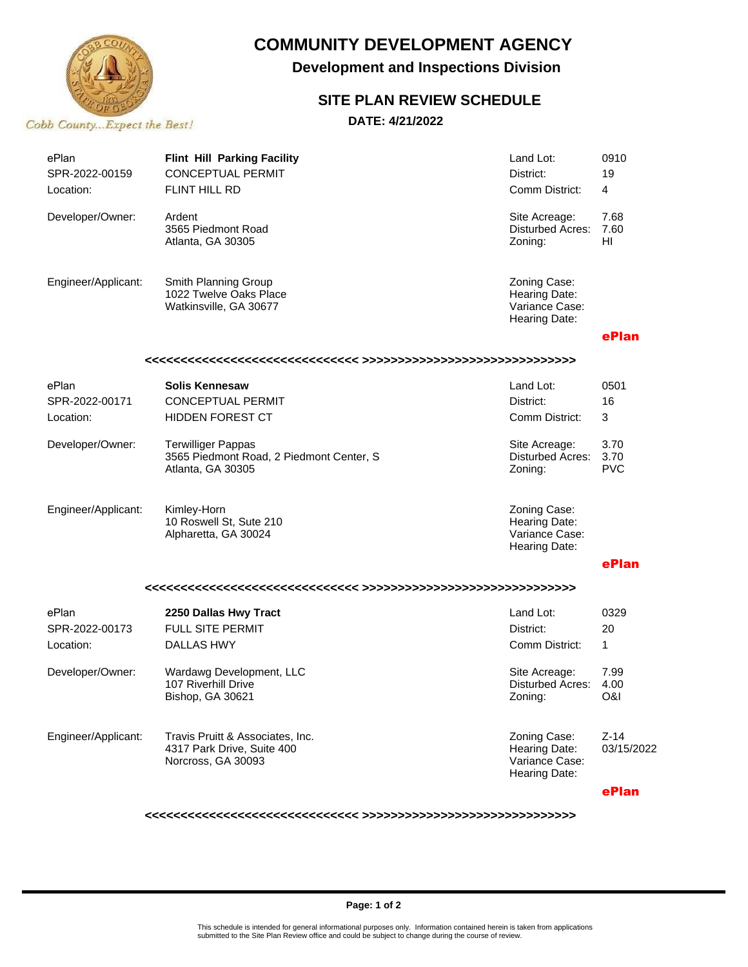

## **COMMUNITY DEVELOPMENT AGENCY**

**Development and Inspections Division**

### **SITE PLAN REVIEW SCHEDULE**

**DATE: 4/21/2022**

| ePlan<br>SPR-2022-00159<br>Location: | <b>Flint Hill Parking Facility</b><br><b>CONCEPTUAL PERMIT</b><br>FLINT HILL RD            | Land Lot:<br>District:<br>Comm District:                         | 0910<br>19<br>4                |  |  |
|--------------------------------------|--------------------------------------------------------------------------------------------|------------------------------------------------------------------|--------------------------------|--|--|
| Developer/Owner:                     | Ardent<br>3565 Piedmont Road<br>Atlanta, GA 30305                                          | Site Acreage:<br>Disturbed Acres:<br>Zoning:                     | 7.68<br>7.60<br>HI             |  |  |
| Engineer/Applicant:                  | Smith Planning Group<br>1022 Twelve Oaks Place<br>Watkinsville, GA 30677                   | Zoning Case:<br>Hearing Date:<br>Variance Case:<br>Hearing Date: |                                |  |  |
|                                      |                                                                                            |                                                                  | ePlan                          |  |  |
|                                      |                                                                                            |                                                                  |                                |  |  |
| ePlan                                | Solis Kennesaw                                                                             | Land Lot:                                                        | 0501                           |  |  |
| SPR-2022-00171                       | <b>CONCEPTUAL PERMIT</b>                                                                   | District:                                                        | 16                             |  |  |
| Location:                            | <b>HIDDEN FOREST CT</b>                                                                    | Comm District:                                                   | 3                              |  |  |
| Developer/Owner:                     | <b>Terwilliger Pappas</b><br>3565 Piedmont Road, 2 Piedmont Center, S<br>Atlanta, GA 30305 | Site Acreage:<br>Disturbed Acres:<br>Zoning:                     | 3.70<br>3.70<br><b>PVC</b>     |  |  |
| Engineer/Applicant:                  | Kimley-Horn<br>10 Roswell St, Sute 210<br>Alpharetta, GA 30024                             | Zoning Case:<br>Hearing Date:<br>Variance Case:<br>Hearing Date: |                                |  |  |
|                                      |                                                                                            |                                                                  | ePlan                          |  |  |
|                                      |                                                                                            |                                                                  |                                |  |  |
| ePlan                                | 2250 Dallas Hwy Tract                                                                      | Land Lot:                                                        | 0329                           |  |  |
| SPR-2022-00173                       | <b>FULL SITE PERMIT</b>                                                                    | District:                                                        | 20                             |  |  |
| Location:                            | DALLAS HWY                                                                                 | Comm District:                                                   | 1                              |  |  |
| Developer/Owner:                     | Wardawg Development, LLC<br>107 Riverhill Drive<br>Bishop, GA 30621                        | Site Acreage:<br>Disturbed Acres:<br>Zoning:                     | 7.99<br>4.00<br><b>O&amp;I</b> |  |  |
| Engineer/Applicant:                  | Travis Pruitt & Associates, Inc.<br>4317 Park Drive, Suite 400<br>Norcross, GA 30093       | Zoning Case:<br>Hearing Date:<br>Variance Case:<br>Hearing Date: | $Z-14$<br>03/15/2022           |  |  |
|                                      |                                                                                            |                                                                  | ePlan                          |  |  |

**<<<<<<<<<<<<<<<<<<<<<<<<<<<<<< >>>>>>>>>>>>>>>>>>>>>>>>>>>>>>**